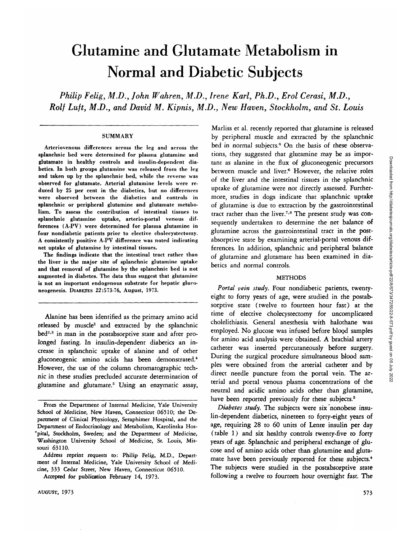# Glutamine and Glutamate Metabolism in Normal and Diabetic Subjects

*Philip Felig, M.D., John Wahren, M.D., Irene Karl, Ph.D., Erol Cerasi, M.D., Rolf Luft, M.D., and David M. Kipnis, M.D., New Haven, Stockholm, and St. Louis*

#### **SUMMARY**

Arteriovenous differences across the leg and across the splanchnic bed were determined for plasma glutamine and glutamate in healthy controls and insulin-dependent diabetics. In both groups glutamine was released from the leg and taken up by the splanchnic bed, while the reverse was observed for glutamate. Arterial glutamine levels were reduced by 25 per cent in the diabetics, but no differences were observed between the diabetics and controls in splanchnic or peripheral glutamine and glutamate metabolism. To assess the contribution of intestinal tissues to splanchnic glutamine uptake, arterio-portal venous differences (A-PV) were determined for plasma glutamine in four nondiabetic patients prior to elective cholecystectomy. A consistently positive A-PV difference was noted indicating net uptake of glutamine by intestinal tissues.

The findings indicate that the intestinal tract rather than the liver is the major site of splanchnic glutamine uptake and that removal of glutamine by the splanchnic bed is not augmented in diabetes. The data thus suggest that glutamine is not an important endogenous substrate for hepatic gluconeogenesis. DIABETES 22:573-76, August, 1973.

Alanine has been identified as the primary amino acid released by muscle<sup>1</sup> and extracted by the splanchnic bed<sup>2,3</sup> in man in the postabsorptive state and after prolonged fasting. In insulin-dependent diabetics an increase in splanchnic uptake of alanine and of other gluconeogenic amino acids has been demonstrated.4 However, the use of the column chromatographic technic in these studies precluded accurate determination of glutamine and glutamate.5 Using an enzymatic assay,

Address reprint requests to: Philip Felig, M.D., Department of Internal Medicine, Yale University School of Medicine, 333 Cedar Street, New Haven, Connecticut 06510.

Accepted for publication February 14, 1973.

Marliss et al. recently reported that glutamine is released by peripheral muscle and extracted by the splanchnic bed in normal subjects.<sup>6</sup> On the basis of these observations, they suggested that glutamine may be as important as alanine in the flux of gluconeogenic precursors between muscle and liver.<sup>6</sup> However, the relative roles of the liver and the intestinal tissues in the splanchnic uptake of glutamine were not directly assessed. Furthermore, studies in dogs indicate that splanchnic uptake of glutamine is due to extraction by the gastrointestinal tract rather than the liver.<sup>7,8</sup> The present study was consequently undertaken to determine the net balance of glutamine across the gastrointestinal tract in the postabsorptive state by examining arterial-portal venous differences. In addition, splanchnic and peripheral balance of glutamine and glutamate has been examined in diabetics and normal controls.

### **METHODS**

*Portal vein study.* Four nondiabetic patients, twentyeight to forty years of age, were studied in the postabsorptive state (twelve to fourteen hour fast) at the time of elective cholecystectomy for uncomplicated cholelithiasis. General anesthesia with halothane was employed. No glucose was infused before blood samples for amino acid analysis were obtained. A brachial artery catheter was inserted percutaneously before surgery. During the surgical procedure simultaneous blood samples were obtained from the arterial catheter and by direct needle puncture from the portal vein. The arterial and portal venous plasma concentrations of the neutral and acidic amino acids other than glutamine, have been reported previously for these subjects.<sup>3</sup>

*Diabetes study*. The subjects were six nonobese insulin-dependent diabetics, nineteen to forty-eight years of age, requiring 28 to 60 units of Lente insulin per day (table 1) and six healthy controls twenty-five to forty years of age. Splanchnic and peripheral exchange of glucose and of amino acids other than glutamine and glutamate have been previously reported for these subjects.<sup>4</sup> The subjects were studied in the postabsorptive state following a twelve to fourteen hour overnight fast. The

From the Department of Internal Medicine, Yale University School of Medicine, New Haven, Connecticut 06510; the Department of Clinical Physiology, Seraphimer Hospital, and the Department of Endocrinology and Metabolism, Karolinska Hos- \*pital, Stockholm, Sweden; and the Department of Medicine, Washington University School of Medicine, St. Louis, Missouri 63110.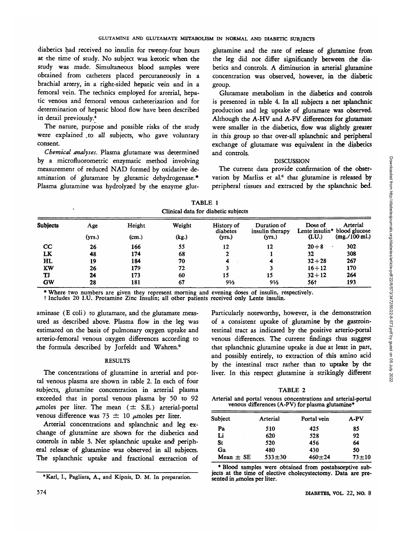diabetics had received no insulin for twenty-four hours at the time of study. No subject was ketotic when the study was made. Simultaneous blood samples were obtained from catheters placed percutaneously in a brachial artery, in a right-sided hepatic vein and in a femoral vein. The technics employed for arterial, hepatic venous and femoral venous catheterization and for determination of hepatic blood flow have been described in detail previously.4

The nature, purpose and possible risks of the study were explained .to all subjects, who gave voluntary consent.

*Chemical analyses.* Plasma glutamate was determined by a microfluorometric enzymatic method involving measurement of reduced NAD formed by oxidative deamination of glutamate by glutamic dehydrogenase.\* Plasma glutamine was hydrolyzed by the enzyme glut-

glutamine and the rate of release of glutamine from the leg did not differ significantly between the diabetics and controls. A diminution in arterial glutamine concentration was observed, however, in the diabetic group.

Glutamate metabolism in the diabetics and controls is presented in table 4. In all subjects a net splanchnic production and leg uptake of glutamate was observed. Although the A-HV and A-FV differences for glutamate were smaller in the diabetics, flow was slightly greater in this group so that over-all splanchnic and peripheral exchange of glutamate was equivalent in the diabetics and controls.

# **DISCUSSION**

The current data provide confirmation of the observation by Marliss et al.<sup>6</sup> that glutamine is released by peripheral tissues and extracted by the splanchnic bed.

|                 | Clinical data for diabetic subjects |        |        |                        |                                |           |                                          |  |  |
|-----------------|-------------------------------------|--------|--------|------------------------|--------------------------------|-----------|------------------------------------------|--|--|
| <b>Subjects</b> | Age                                 | Height | Weight | History of<br>diabetes | Duration of<br>insulin therapy | Dose of   | Arterial<br>Lente insulin* blood glucose |  |  |
|                 | (yrs.)                              | (cm.)  | (kg.)  | (yrs.)                 | (yrs.)                         | (LU)      | $(mg. / 100 \text{ m}$ .)                |  |  |
| $_{\rm cc}$     | 26                                  | 166    | 55     | 12                     | 12                             | $20 + 8$  | 302                                      |  |  |
| LK              | 48                                  | 174    | 68     |                        |                                | 32        | 308                                      |  |  |
| HL              | 19                                  | 184    | 70     | 4                      |                                | $32 + 28$ | 267                                      |  |  |
| KW              | 26                                  | 179    | 72     |                        |                                | $16 + 12$ | 170                                      |  |  |
| TJ              | 24                                  | 173    | 60     | 15                     | 15                             | $32 + 12$ | 264                                      |  |  |
| <b>GW</b>       | 28                                  | 181    | 67     | 9½                     | 9½                             | 56†       | 193                                      |  |  |

TABLE 1 Clinical data for diabetic subjects

\* Where two numbers are given they represent morning and evening doses of insulin, respectively. t Includes 20 I.U. Protamine Zinc Insulin; all other patients received only Lente insulin.

aminase (E coli) to glutamate, and the glutamate measured as described above. Plasma flow in the leg was estimated on the basis of pulmonary oxygen uptake and arterio-femoral venous oxygen differences according to the formula described by Jorfeldt and Wahren.<sup>9</sup>

# **RESULTS**

The concentrations of glutamine in arterial and portal venous plasma are shown in table 2. In each of four subjects, glutamine concentration in arterial plasma exceeded that in portal venous plasma by 50 to 92  $\mu$ moles per liter. The mean ( $\pm$  S.E.) arterial-portal venous difference was 73  $\pm$  10  $\mu$ moles per liter.

Arterial concentrations and splanchnic and leg exchange of glutamine are shown for the diabetics and controls in table 3. Net splanchnic uptake and peripheral release of glutamine was observed in all subjects. The splanchnic uptake and fractional extraction of Particularly noteworthy, however, is the demonstration of a consistent uptake of glutamine by the gastrointestinal tract as indicated by the positive arterio-portal venous differences. The current findings thus suggest that splanchnic glutamine uptake is due at least in part, and possibly entirely, to extraction of this amino acid by the intestinal tract rather than to uptake by the liver. In this respect glutamine is strikingly different

TABLE 2

|  |  | Arterial and portal venous concentrations and arterial-portal |  |
|--|--|---------------------------------------------------------------|--|
|  |  | venous differences (A-PV) for plasma glutamine*               |  |

| <b>Subject</b> | Arterial   | Portal vein | A-PV      |
|----------------|------------|-------------|-----------|
| Pa             | 510        | 425         | 85        |
| Li             | 620        | 528         | 92        |
| St             | 520        | 456         | 64        |
| Ga             | 480        | 430         | 50        |
| Mean $\pm$ SE  | $533 + 30$ | $460 + 24$  | $73 + 10$ |

\* Blood samples were obtained from postabsorptive subjects at the time of elective cholecystectomy. Data are presented in  $\mu$ moles per liter.

<sup>•</sup>Karl, I., Pagliara, A., and Kipnis, D. M. In preparation.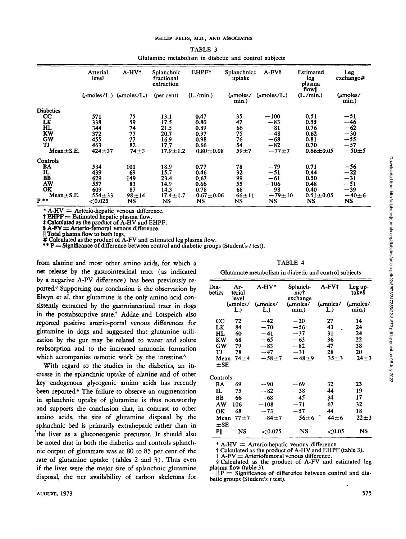| TABLE 3 |                                                       |  |  |  |  |  |  |  |
|---------|-------------------------------------------------------|--|--|--|--|--|--|--|
|         | Glutamine metabolism in diabetic and control subjects |  |  |  |  |  |  |  |

|                  | Arterial<br>level | $A-HV*$                                           | Splanchnic<br>fractional<br>extraction | EHPF†         | Splanchnic‡<br>uptake | $A$ - $FV$ §            | Estimated<br>leg<br>plasma<br>flow | Leg<br>exchange#  |
|------------------|-------------------|---------------------------------------------------|----------------------------------------|---------------|-----------------------|-------------------------|------------------------------------|-------------------|
|                  |                   | $(\mu \text{moles/L.})$ ( $\mu \text{moles/L.}$ ) | (per cent)                             | (L./min.)     | $\mu$ moles /<br>min. | $(\mu \text{moles}/L.)$ | (L./min.)                          | (µmoles/<br>min.) |
| <b>Diabetics</b> |                   |                                                   |                                        |               |                       |                         |                                    |                   |
| $_{\rm cc}$      | 571               | 75                                                | 13.1                                   | 0.47          | 35                    | $-100$                  | 0.51                               | $-51$             |
| LK               | 338               | 59                                                | 17.5                                   | 0.80          | 47                    | $-83$                   | 0.55                               | -46               |
| HL               | 344               | 74                                                | 21.5                                   | 0.89          | 66                    | $-81$                   | 0.76                               | $-62$             |
| KW               | 372               | 77                                                | 20.7                                   | 0.97          | 75                    | $-48$                   | 0.62                               | $-30$             |
| GW               | 455               | 77                                                | 16.9                                   | 0.98          | 76                    | $-68$                   | 0.81                               | -55               |
| TJ               | 463               | 82                                                | 17.7                                   | 0.66          | 54                    | $-82$                   | 0.70                               | $-57$             |
| $Mean \pm S.E.$  | $424 + 37$        | $74 \pm 3$                                        | $17.9 \pm 1.2$                         | $0.80 + 0.08$ | $59 + 7$              | $-77+7$                 | $0.66 \pm 0.05$                    | $-50+5$           |
| Controls         |                   |                                                   |                                        |               |                       |                         |                                    |                   |
| BA               | 534               | 101                                               | 18.9                                   | 0.77          | 78                    | $-79$                   | 0.71                               | -56               |
| IL               | 439               | 69                                                | 15.7                                   | 0.46          | 32                    | $-51$                   | 0.44                               | $-22$             |
| BB               | 629               | 149                                               | 23.4                                   | 0.67          | 99                    | $-61$                   | 0.50                               | $-31$             |
| AW               | 557               | 83                                                | 14.9                                   | 0.66          | 55                    | $-106$                  | 0.48                               | $-51$             |
| OK               | 609               | 87                                                | 14.3                                   | 0.78          | 68                    | $-98$                   | 0.40                               | $-39$             |
| $Mean \pm S.E.$  | $554 + 33$        | $98 + 14$                                         | $17.4 \pm 1.7$                         | $0.67 + 0.06$ | $66 + 11$             | $-79+10$                | $0.51 \pm 0.05$                    | $-40\pm 6$        |
| $P$ **           | ${<}0.025$        | NS                                                | NS                                     | NS            | NS                    | NS                      | <b>NS</b>                          | NS                |

\* A-HV = Arterio-hepatic venous difference.<br>
† EHPF = Estimated hepatic plasma flow.<br>
‡ Calculated as the product of A-HV and EHPF.<br>
§ A-FV = Arterio-femoral venous difference.<br>
∥ Total plasma flow to both legs.<br>
# Calcul

from alanine and most other amino acids, for which a net release by the gastrointestinal tract (as indicated by a negative A-PV difference) has been previously reported.<sup>3</sup> Supporting our conclusion is the observation by Elwyn et al. that glutamine is the only amino acid consistently extracted by the gastrointestinal tract in dogs in the postabsorptive state.<sup>7</sup> Addae and Lotspeich also reported positive arterio-portal venous differences for glutamine in dogs and suggested that glutamine utilization by the gut may be related to water and solute reabsorption and to the increased ammonia formation which accompanies osmotic work by the intestine.<sup>8</sup>

With regard to the studies in the diabetics, an increase in the splanchnic uptake of alanine and of other key endogenous glycogenic amino acids has recently been reported.<sup>4</sup> The failure to observe an augmentation in splanchnic uptake of glutamine is thus noteworthy and supports the conclusion that, in contrast to other amino acids, the site of glutamine disposal by the splanchnic bed is primarily extrahepatic rather than in the liver as a gluconeogenic precursor. It should also be noted that in both the diabetics and controls splanchnic output of glutamate was at 80 to 85 per cent of the rate of glutamine uptake (tables 2 and 3). Thus even if the liver were the major site of splanchnic glutamine disposal, the net availability of carbon skeletons for

TABLE 4

Glutamate metabolism in diabetic and control subjects

| Dia-<br>betics   | Ar-<br>terial<br>level | A-HV*           | Splanch-<br>nic†<br>exchange | A-FV†                       | Leg up-<br>take§  |
|------------------|------------------------|-----------------|------------------------------|-----------------------------|-------------------|
|                  | $(\mu$ moles/<br>L.)   | (umoles/<br>L.) | (umoles/<br>min.)            | $(\mu \text{moles}/$<br>L.) | (umoles/<br>min.) |
| $_{\rm cc}$      | 72                     | $-42$           | $-20$                        | 27                          | 14                |
| LK               | 84                     | $-70$           | $-56$                        | 43                          | 24                |
| HL               | 60                     | $-41$           | $-37$                        | 31                          | 24                |
| ΚW               | 68                     | $-65$           | $-63$                        | 36                          | 22                |
| GW               | 79                     | $-83$           | $-82$                        | 47                          | 38                |
| TJ               | 78                     | $-47$           | $-31$                        | 28                          | 20                |
| Mean<br>$\pm$ SE | $74 + 4$               | $-58+7$         | $-48+9$                      | $35 + 3$                    | $24 + 3$          |
| Controls         |                        |                 |                              |                             |                   |
| BA               | 69                     | $-90$           | -- 69                        | 32                          | 23                |
| IL               | 75                     | $-82$           | $-38$                        | 44                          | 19                |
| BB               | 66                     | $-68$           | $-45$                        | 34                          | 17                |
| AW               | 106                    | $-108$          | $-71$                        | 67                          | 32                |
| OK               | 68                     | $-73$           | $-57$                        | 44                          | 18                |
| Mean<br>$\pm$ SE | $77 + 7$               | $-84+7$         | $-56\pm 6$                   | $44\pm 6$                   | $22\pm3$          |
| ₽∥               | NS                     | $<$ 0.025       | NS                           | $<$ 0.05                    | NS                |

\* A-HV = Arterio-hepatic venous difference.<br>
† Calculated as the product of A-HV and EHPF (table 3).<br>
† A-FV = Arteriofemoral venous difference.<br>
§ Calculated as the product of A-FV and estimated leg<br>
plasma flow (table 3